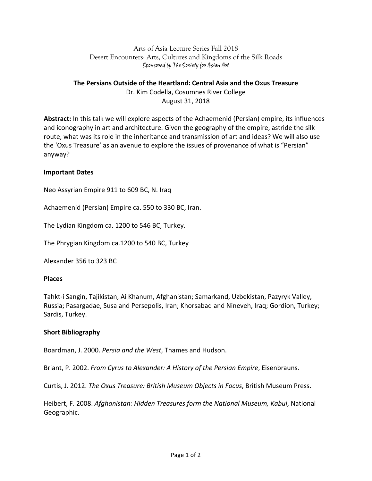## Arts of Asia Lecture Series Fall 2018 Desert Encounters: Arts, Cultures and Kingdoms of the Silk Roads Sponsored by The Society for Asian Art

# **The Persians Outside of the Heartland: Central Asia and the Oxus Treasure** Dr. Kim Codella, Cosumnes River College August 31, 2018

**Abstract:** In this talk we will explore aspects of the Achaemenid (Persian) empire, its influences and iconography in art and architecture. Given the geography of the empire, astride the silk route, what was its role in the inheritance and transmission of art and ideas? We will also use the 'Oxus Treasure' as an avenue to explore the issues of provenance of what is "Persian" anyway?

### **Important Dates**

Neo Assyrian Empire 911 to 609 BC, N. Iraq

Achaemenid (Persian) Empire ca. 550 to 330 BC, Iran.

The Lydian Kingdom ca. 1200 to 546 BC, Turkey.

The Phrygian Kingdom ca.1200 to 540 BC, Turkey

Alexander 356 to 323 BC

### **Places**

Tahkt-i Sangin, Tajikistan; Ai Khanum, Afghanistan; Samarkand, Uzbekistan, Pazyryk Valley, Russia; Pasargadae, Susa and Persepolis, Iran; Khorsabad and Nineveh, Iraq; Gordion, Turkey; Sardis, Turkey.

### **Short Bibliography**

Boardman, J. 2000. Persia and the West, Thames and Hudson.

Briant, P. 2002. *From Cyrus to Alexander: A History of the Persian Empire*, Eisenbrauns.

Curtis, J. 2012. *The Oxus Treasure: British Museum Objects in Focus*, British Museum Press.

Heibert, F. 2008. *Afghanistan: Hidden Treasures form the National Museum, Kabul*, National Geographic.